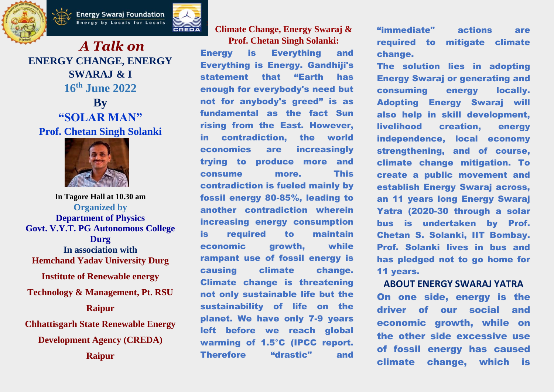



*A Talk on* **ENERGY CHANGE, ENERGY SWARAJ & I 16 th June 2022 By "SOLAR MAN" Prof. Chetan Singh Solanki**



**In Tagore Hall at 10.30 am Organized by Department of Physics Govt. V.Y.T. PG Autonomous College Durg In association with Hemchand Yadav University Durg Institute of Renewable energy Technology & Management, Pt. RSU Raipur Chhattisgarh State Renewable Energy Development Agency (CREDA)** 

**Raipur**

**Climate Change, Energy Swaraj & Prof. Chetan Singh Solanki:** Energy is Everything and Everything is Energy. Gandhiji's statement that "Earth has enough for everybody's need but not for anybody's greed" is as fundamental as the fact Sun rising from the East. However, in contradiction, the world economies are increasingly trying to produce more and consume more. This contradiction is fueled mainly by fossil energy 80-85%, leading to another contradiction wherein increasing energy consumption is required to maintain economic growth. while rampant use of fossil energy is causing climate change. Climate change is threatening not only sustainable life but the sustainability of life on the planet. We have only 7-9 years left before we reach global warming of 1.5°C (IPCC report. Therefore "drastic" and

"immediate" actions are required to mitigate climate change.

The solution lies in adopting Energy Swaraj or generating and consuming energy locally. Adopting Energy Swaraj will also help in skill development, livelihood creation, energy independence, local economy strengthening, and of course, climate change mitigation. To create a public movement and establish Energy Swaraj across, an 11 years long Energy Swaraj Yatra (2020-30 through a solar bus is undertaken by Prof. Chetan S. Solanki, IIT Bombay. Prof. Solanki lives in bus and has pledged not to go home for 11 years.

**ABOUT ENERGY SWARAJ YATRA** On one side, energy is the driver of our social and economic growth, while on the other side excessive use of fossil energy has caused climate change, which is